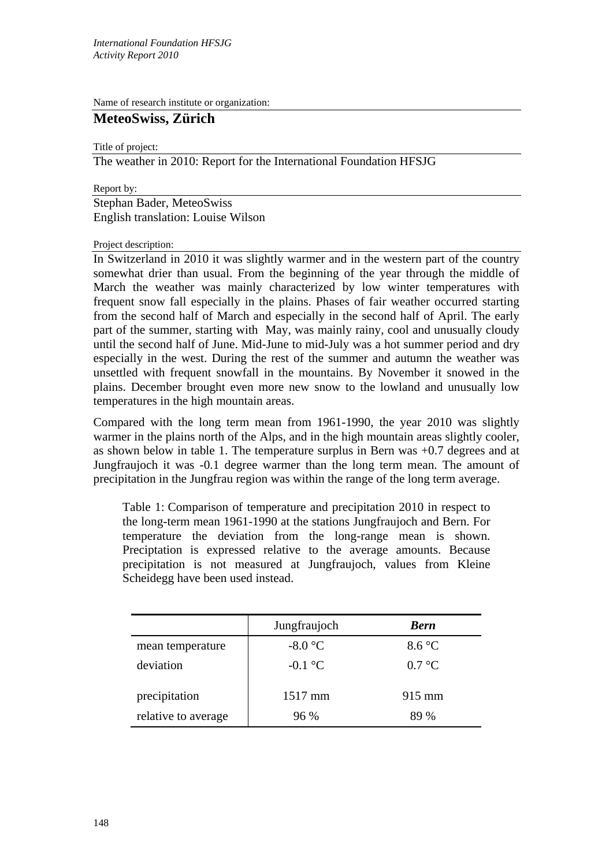Name of research institute or organization:

# **MeteoSwiss, Zürich**

Title of project:

The weather in 2010: Report for the International Foundation HFSJG

Report by:

Stephan Bader, MeteoSwiss English translation: Louise Wilson

#### Project description:

In Switzerland in 2010 it was slightly warmer and in the western part of the country somewhat drier than usual. From the beginning of the year through the middle of March the weather was mainly characterized by low winter temperatures with frequent snow fall especially in the plains. Phases of fair weather occurred starting from the second half of March and especially in the second half of April. The early part of the summer, starting with May, was mainly rainy, cool and unusually cloudy until the second half of June. Mid-June to mid-July was a hot summer period and dry especially in the west. During the rest of the summer and autumn the weather was unsettled with frequent snowfall in the mountains. By November it snowed in the plains. December brought even more new snow to the lowland and unusually low temperatures in the high mountain areas.

Compared with the long term mean from 1961-1990, the year 2010 was slightly warmer in the plains north of the Alps, and in the high mountain areas slightly cooler, as shown below in table 1. The temperature surplus in Bern was +0.7 degrees and at Jungfraujoch it was -0.1 degree warmer than the long term mean. The amount of precipitation in the Jungfrau region was within the range of the long term average.

Table 1: Comparison of temperature and precipitation 2010 in respect to the long-term mean 1961-1990 at the stations Jungfraujoch and Bern. For temperature the deviation from the long-range mean is shown. Preciptation is expressed relative to the average amounts. Because precipitation is not measured at Jungfraujoch, values from Kleine Scheidegg have been used instead.

|                     | Jungfraujoch | <b>Bern</b>      |
|---------------------|--------------|------------------|
| mean temperature    | $-8.0$ °C    | 8.6 °C           |
| deviation           | $-0.1$ °C    | $0.7 \text{ °C}$ |
| precipitation       | 1517 mm      | $915 \text{ mm}$ |
| relative to average | 96%          | 89 %             |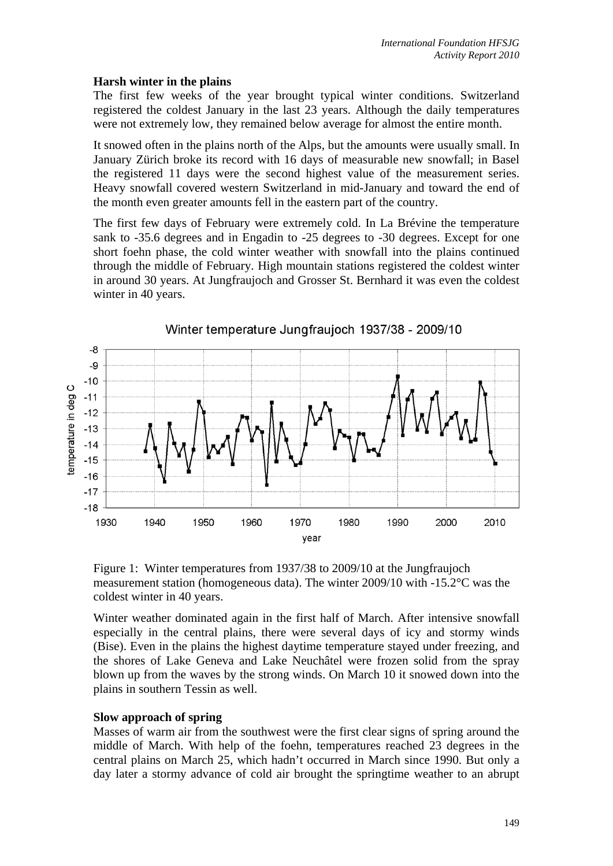### **Harsh winter in the plains**

The first few weeks of the year brought typical winter conditions. Switzerland registered the coldest January in the last 23 years. Although the daily temperatures were not extremely low, they remained below average for almost the entire month.

It snowed often in the plains north of the Alps, but the amounts were usually small. In January Zürich broke its record with 16 days of measurable new snowfall; in Basel the registered 11 days were the second highest value of the measurement series. Heavy snowfall covered western Switzerland in mid-January and toward the end of the month even greater amounts fell in the eastern part of the country.

The first few days of February were extremely cold. In La Brévine the temperature sank to -35.6 degrees and in Engadin to -25 degrees to -30 degrees. Except for one short foehn phase, the cold winter weather with snowfall into the plains continued through the middle of February. High mountain stations registered the coldest winter in around 30 years. At Jungfraujoch and Grosser St. Bernhard it was even the coldest winter in 40 years.



Winter temperature Jungfraujoch 1937/38 - 2009/10

Winter weather dominated again in the first half of March. After intensive snowfall especially in the central plains, there were several days of icy and stormy winds (Bise). Even in the plains the highest daytime temperature stayed under freezing, and the shores of Lake Geneva and Lake Neuchâtel were frozen solid from the spray blown up from the waves by the strong winds. On March 10 it snowed down into the plains in southern Tessin as well.

### **Slow approach of spring**

Masses of warm air from the southwest were the first clear signs of spring around the middle of March. With help of the foehn, temperatures reached 23 degrees in the central plains on March 25, which hadn't occurred in March since 1990. But only a day later a stormy advance of cold air brought the springtime weather to an abrupt

Figure 1: Winter temperatures from 1937/38 to 2009/10 at the Jungfraujoch measurement station (homogeneous data). The winter 2009/10 with -15.2°C was the coldest winter in 40 years.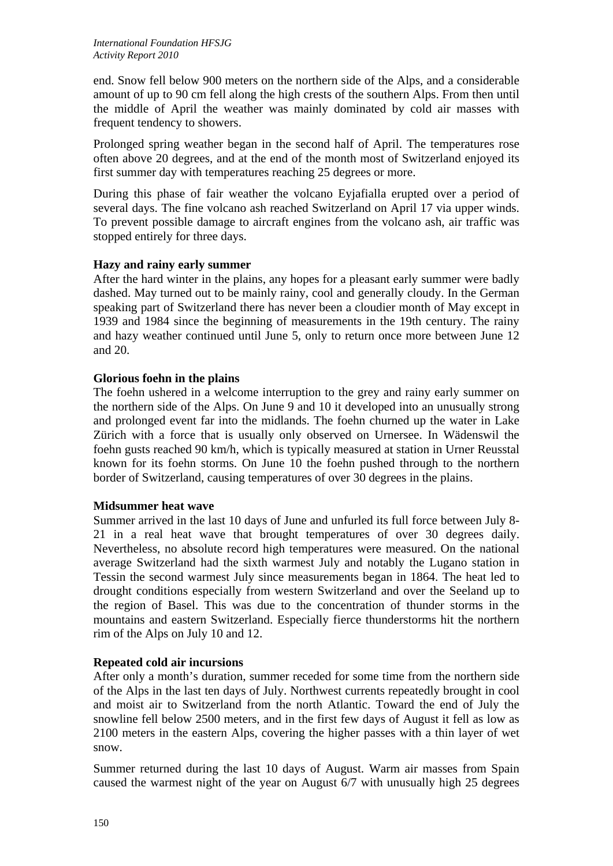end. Snow fell below 900 meters on the northern side of the Alps, and a considerable amount of up to 90 cm fell along the high crests of the southern Alps. From then until the middle of April the weather was mainly dominated by cold air masses with frequent tendency to showers.

Prolonged spring weather began in the second half of April. The temperatures rose often above 20 degrees, and at the end of the month most of Switzerland enjoyed its first summer day with temperatures reaching 25 degrees or more.

During this phase of fair weather the volcano Eyjafialla erupted over a period of several days. The fine volcano ash reached Switzerland on April 17 via upper winds. To prevent possible damage to aircraft engines from the volcano ash, air traffic was stopped entirely for three days.

## **Hazy and rainy early summer**

After the hard winter in the plains, any hopes for a pleasant early summer were badly dashed. May turned out to be mainly rainy, cool and generally cloudy. In the German speaking part of Switzerland there has never been a cloudier month of May except in 1939 and 1984 since the beginning of measurements in the 19th century. The rainy and hazy weather continued until June 5, only to return once more between June 12 and 20.

### **Glorious foehn in the plains**

The foehn ushered in a welcome interruption to the grey and rainy early summer on the northern side of the Alps. On June 9 and 10 it developed into an unusually strong and prolonged event far into the midlands. The foehn churned up the water in Lake Zürich with a force that is usually only observed on Urnersee. In Wädenswil the foehn gusts reached 90 km/h, which is typically measured at station in Urner Reusstal known for its foehn storms. On June 10 the foehn pushed through to the northern border of Switzerland, causing temperatures of over 30 degrees in the plains.

### **Midsummer heat wave**

Summer arrived in the last 10 days of June and unfurled its full force between July 8- 21 in a real heat wave that brought temperatures of over 30 degrees daily. Nevertheless, no absolute record high temperatures were measured. On the national average Switzerland had the sixth warmest July and notably the Lugano station in Tessin the second warmest July since measurements began in 1864. The heat led to drought conditions especially from western Switzerland and over the Seeland up to the region of Basel. This was due to the concentration of thunder storms in the mountains and eastern Switzerland. Especially fierce thunderstorms hit the northern rim of the Alps on July 10 and 12.

## **Repeated cold air incursions**

After only a month's duration, summer receded for some time from the northern side of the Alps in the last ten days of July. Northwest currents repeatedly brought in cool and moist air to Switzerland from the north Atlantic. Toward the end of July the snowline fell below 2500 meters, and in the first few days of August it fell as low as 2100 meters in the eastern Alps, covering the higher passes with a thin layer of wet snow.

Summer returned during the last 10 days of August. Warm air masses from Spain caused the warmest night of the year on August 6/7 with unusually high 25 degrees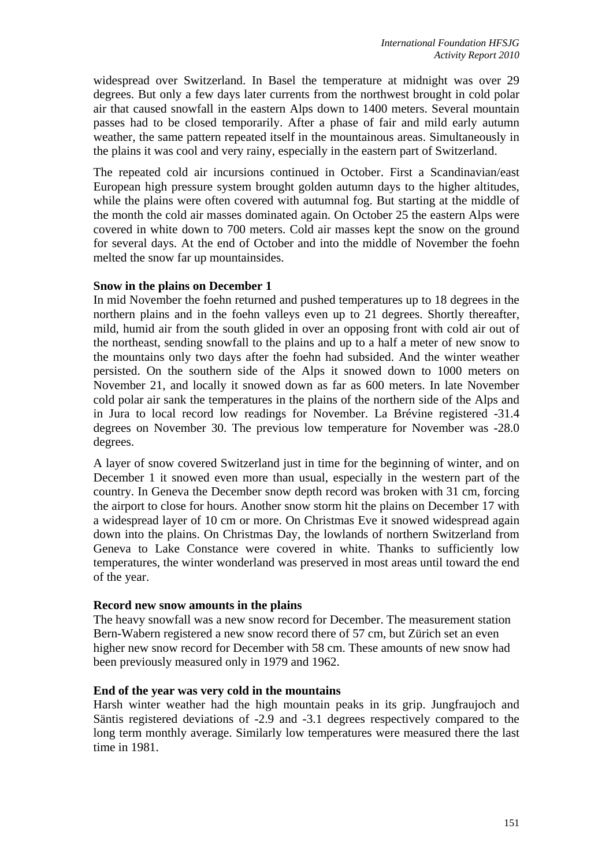widespread over Switzerland. In Basel the temperature at midnight was over 29 degrees. But only a few days later currents from the northwest brought in cold polar air that caused snowfall in the eastern Alps down to 1400 meters. Several mountain passes had to be closed temporarily. After a phase of fair and mild early autumn weather, the same pattern repeated itself in the mountainous areas. Simultaneously in the plains it was cool and very rainy, especially in the eastern part of Switzerland.

The repeated cold air incursions continued in October. First a Scandinavian/east European high pressure system brought golden autumn days to the higher altitudes, while the plains were often covered with autumnal fog. But starting at the middle of the month the cold air masses dominated again. On October 25 the eastern Alps were covered in white down to 700 meters. Cold air masses kept the snow on the ground for several days. At the end of October and into the middle of November the foehn melted the snow far up mountainsides.

### **Snow in the plains on December 1**

In mid November the foehn returned and pushed temperatures up to 18 degrees in the northern plains and in the foehn valleys even up to 21 degrees. Shortly thereafter, mild, humid air from the south glided in over an opposing front with cold air out of the northeast, sending snowfall to the plains and up to a half a meter of new snow to the mountains only two days after the foehn had subsided. And the winter weather persisted. On the southern side of the Alps it snowed down to 1000 meters on November 21, and locally it snowed down as far as 600 meters. In late November cold polar air sank the temperatures in the plains of the northern side of the Alps and in Jura to local record low readings for November. La Brévine registered -31.4 degrees on November 30. The previous low temperature for November was -28.0 degrees.

A layer of snow covered Switzerland just in time for the beginning of winter, and on December 1 it snowed even more than usual, especially in the western part of the country. In Geneva the December snow depth record was broken with 31 cm, forcing the airport to close for hours. Another snow storm hit the plains on December 17 with a widespread layer of 10 cm or more. On Christmas Eve it snowed widespread again down into the plains. On Christmas Day, the lowlands of northern Switzerland from Geneva to Lake Constance were covered in white. Thanks to sufficiently low temperatures, the winter wonderland was preserved in most areas until toward the end of the year.

### **Record new snow amounts in the plains**

The heavy snowfall was a new snow record for December. The measurement station Bern-Wabern registered a new snow record there of 57 cm, but Zürich set an even higher new snow record for December with 58 cm. These amounts of new snow had been previously measured only in 1979 and 1962.

### **End of the year was very cold in the mountains**

Harsh winter weather had the high mountain peaks in its grip. Jungfraujoch and Säntis registered deviations of -2.9 and -3.1 degrees respectively compared to the long term monthly average. Similarly low temperatures were measured there the last time in 1981.